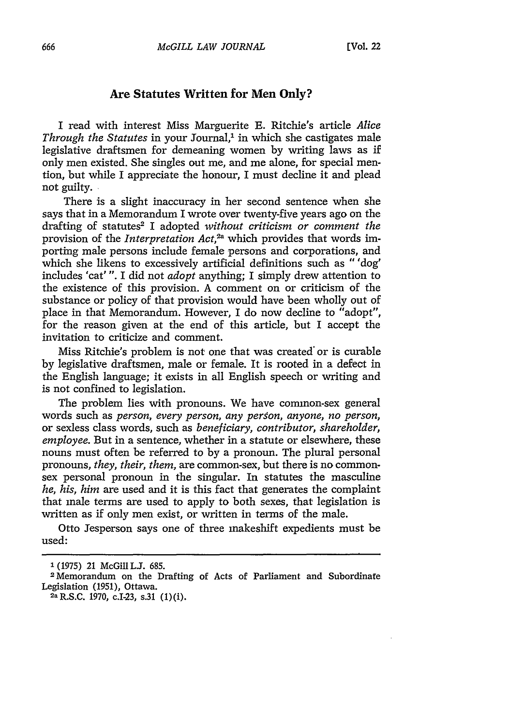## **Are Statutes Written for Men Only?**

I read with interest Miss Marguerite **E.** Ritchie's article *Alice Through the Statutes* in your Journal,<sup>1</sup> in which she castigates male legislative draftsmen for demeaning women **by** writing laws as if only men existed. She singles out me, and me alone, for special mention, but while I appreciate the honour, I must decline it and plead not guilty.

There is a slight inaccuracy in her second sentence when she says that in a Memorandum I wrote over twenty-five years ago on the drafting of statutes2 I adopted *without criticism or comment the* provision of the *Interpretation Act*.<sup>2a</sup> which provides that words importing male persons include female persons and corporations, and which she likens to excessively artificial definitions such as "'dog' includes 'cat' **".** I did not *adopt* anything; I simply drew attention to the existence of this provision. **A** comment on or criticism of the substance or policy of that provision would have been wholly out of place in that Memorandum. However, I do now decline to "adopt", for the reason given at the end of this article, but I accept the invitation to criticize and comment.

Miss Ritchie's problem is not one that was created' or is curable **by** legislative draftsmen, male or female. It is rooted in a defect in the English language; it exists in all English speech or writing and is not confined to legislation.

The problem lies with pronouns. We have common-sex general words such as *person, every person, any person, anyone, no person,* or sexless class words, such as *beneficiary, contributor, shareholder, employee.* But in a sentence, whether in a statute or elsewhere, these nouns must often be referred to by a pronoun. The plural personal pronouns, *they, their, them,* are common-sex, but there is no commonsex personal pronoun in the singular. In statutes the masculine *he, his, him* are used and it is this fact that generates the complaint that male terms are used to apply to both sexes, that legislation is written as if only men exist, or written in terms of the male.

Otto Jesperson says one of three makeshift expedients must be used:

**<sup>1(1975)</sup>** 21 McGiULJ. **685.**

<sup>2</sup>Memorandum on the Drafting of Acts of Parliament and Subordinate Legislation (1951), Ottawa.

<sup>2</sup>aR.S.C. 1970, c.I-23, s.31 (1)(i).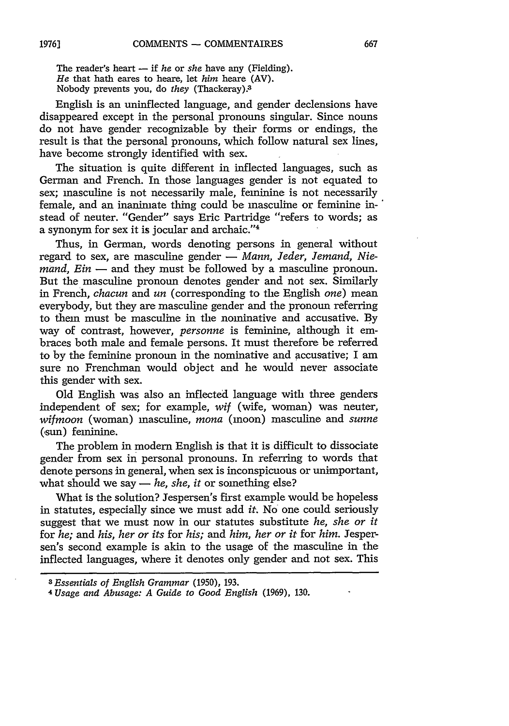The reader's heart **-** if *he* or *she* have any (Fielding). *He* that hath eares to heare, let *him* heare (AV). Nobody prevents you, do *they* (Thackeray).

English is an uninflected language, and gender declensions have disappeared except in the personal pronouns singular. Since nouns do not have gender recognizable by their forms or endings, the result is that the personal pronouns, which follow natural sex lines, have become strongly identified with sex.

The situation is quite different in inflected languages, such as German and French. In those languages gender is not equated to sex; masculine is not necessarily male, feminine is not necessarily female, and an inanimate thing could be masculine or feminine instead of neuter. "Gender" says Eric Partridge "refers to words; as a synonym for sex it is jocular and archaic."4

Thus, in German, words denoting persons in general without regard to sex, are masculine gender **-** *Mann, Jeder, Jemand, Niemand, Ein* — and they must be followed by a masculine pronoun. But the masculine pronoun denotes gender and not sex. Similarly in French, *chacun* and *un* (corresponding to the English *one)* mean everybody, but they are masculine gender and the pronoun referring to them must be masculine in the nominative and accusative. By way of contrast, however, *personne* is feminine, although it embraces both male and female persons. It must therefore be referred to by the feminine pronoun in the nominative and accusative; I am sure no Frenchman would object and he would never associate this gender with sex.

Old English was also an inflected language with three genders independent of sex; for example, *wif* (wife, woman) was neuter, *wifmoon* (woman) masculine, *mona* (moon) masculine and *sunne* (,sun) feminine.

The problem in modem English is that it is difficult to dissociate gender from sex in personal pronouns. In referring to words that denote persons in general, when sex is inconspicuous or unimportant, what should we say  $-$  *he, she, it* or something else?

What is the solution? Jespersen's first example would be hopeless in statutes, especially since we must add *it.* No one could seriously suggest that we must now in our statutes substitute *he, she or it* for *he; and his, her or its* for *his; and him, her or it* for *him.* Jespersen's second example is akin to the usage of the masculine in the inflected languages, where it denotes only gender and not sex. This

*<sup>3</sup>Essentials of English Grammar* (1950), 193.

<sup>4</sup> *Usage and Abusage: A Guide to Good English* (1969), 130.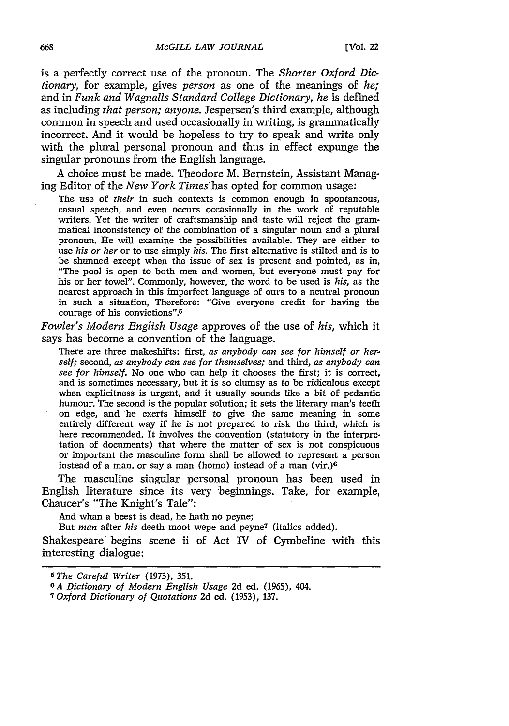is a perfectly correct use of the pronoun. The *Shorter Oxford Dictionary,* for example, gives *person* as one of the meanings of *he;* and in *Funk and Wagnalls Standard College Dictionary, he* is defined as including *that person; anyone.* Jespersen's third example, although common in speech and used occasionally in writing, is grammatically incorrect. And it would be hopeless to try to speak and write only with the plural personal pronoun and thus in effect expunge the singular pronouns from the English language.

A choice must be made. Theodore M. Bernstein, Assistant Managing Editor of the *New York Times has* opted for common usage:

The use of *their* in such contexts is common enough in spontaneous, casual speech, and even occurs occasionally in the work of reputable writers. Yet the writer of craftsmanship and taste will reject the grammatical inconsistency of the combination of a singular noun and a plural pronoun. He will examine the possibilities available. They are either to use *his or her* or to use simply *his.* The first alternative is stilted and is to be shunned except when the issue of sex is present and pointed, as in, "The pool is open to both men and women, but everyone must pay for his or her towel". Commonly, however, the word to be used is *his,* as the nearest approach in this imperfect language of ours to a neutral pronoun in such a situation, Therefore: "Give everyone credit for having the courage of his convictions".

*Fowler's Modern English Usage* approves of the use of *his,* which it says has become a convention of the language.

There are three makeshifts: first, *as anybody can see for himself or herself;* second, *as anybody can see for themselves;* and third, *as anybody can see for himself.* No one who can help it chooses the first; it is correct, and is sometimes necessary, but it is so clumsy as to be ridiculous except when explicitness is urgent, and it usually sounds like a bit of pedantic humour. The second is the popular solution; it sets the literary man's teeth on edge, and he exerts himself to give the same meaning in some entirely different way if he is not prepared to risk the third, which is here recommended. It involves the convention (statutory in the interpretation of documents) that where the matter of sex is not conspicuous or important the masculine form shall be allowed to represent a person instead of a man, or say a man (homo) instead of a man (vir.) $6$ 

The masculine singular personal pronoun has been used in English literature since its very beginnings. Take, for example, Chaucer's "The Knight's Tale":

And whan a beest is dead, he hath no peyne;

But *man* after *his* deeth moot wepe and peyne7 (italics added).

Shakespeare begins scene ii of Act IV of Cymbeline with this interesting dialogue:

*<sup>5</sup> The Careful Writer* (1973), 351.

*GA Dictionary of Modern English Usage* 2d ed. (1965), 404.

*<sup>7</sup>Oxford Dictionary of Quotations* 2d ed. (1953), 137.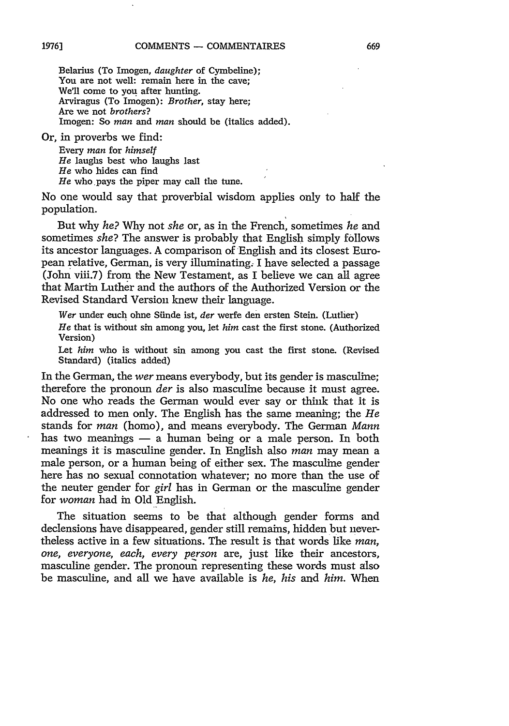Belarius (To Imogen, *daughter* of Cymbeline); You are not well: remain here in the cave; We'll come to you after hunting. Arviragus (To Imogen): *Brother,* stay here; Are we not *brothers?* Imogen: So *man* and *man* should be (italics added).

Or, in proverbs we find:

Every *man* for *himself He* laughs best who laughs last *He* who hides can find *He* who pays the piper may call the tune.

No one would say that proverbial wisdom applies only to half the population.

But why *he?* Why not *she* or, as in the French, sometimes *he* and sometimes *she?* The answer is probably that English simply follows its ancestor languages. A comparison of English and its closest European relative, German, is very illuminating. I have selected a passage (John viii.7) from the New Testament, as I believe we can all agree that Martin Luther and the authors of the Authorized Version or the Revised Standard Version knew their language.

*Wer* under euch ohne Siinde ist, *der* werfe den ersten Stein. (Luther)

*He* that is without sin among you, let *him* cast the first stone. (Authorized Version)

Let *him* who is without sin among you cast the first stone. (Revised Standard) (italics added)

In the German, the *wer* means everybody, but its gender is masculine; therefore the pronoun *der* is also masculine because it must agree. No one who reads the German would ever say or think that it is addressed to men only. The English has the same meaning; the *He* stands for *man* (homo), and means everybody. The German *Mann* has two meanings **-** a human being or a male person. In both meanings it is masculine gender. In English also *man* may mean a male person, or a human being of either sex. The masculine gender here has no sexual connotation whatever; no more than the use of the neuter gender for *girl* has in German or the masculine gender for *woman* had in Old English.

The situation seems to be that although gender forms and declensions have disappeared, gender still remains, hidden but nevertheless active in a few situations. The result is that words like *man, one, everyone, each, every person* are, just like their ancestors, masculine gender. The pronoun representing these words must also be masculine, and all we have available is *he, his and him.* When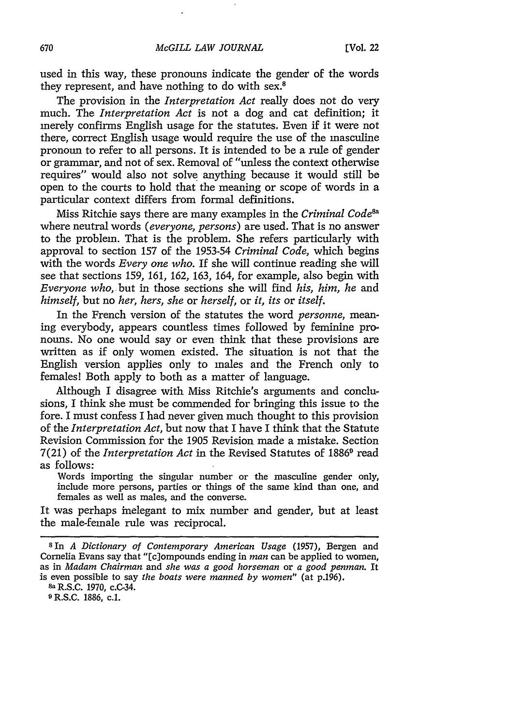used in this way, these pronouns indicate the gender of the words they represent, and have nothing to do with sex.<sup>8</sup>

The provision in the *Interpretation Act* really does not do very much. The *Interpretation Act* is not a dog and cat definition; it merely confirms English usage for the statutes. Even if it were not there, correct English usage would require the use of the masculine pronoun to refer to all persons. It is intended to be a rule of gender or grammar, and not of sex. Removal of "unless the context otherwise requires" would also not solve anything because it would still be open to the courts to hold that the meaning or scope of words in a particular context differs from formal definitions.

Miss Ritchie says there are many examples in the *Criminal Codes a* where neutral words *(everyone, persons)* are used. That is no answer to the problem. That is the problem. She refers particularly with approval to section 157 of the 1953-54 *Criminal Code,* which begins with the words *Every one who.* If she will continue reading she will see that sections 159, 161, 162, 163, 164, for example, also begin with *Everyone who,* but in those sections she will find *his, him, he* and *himself,* but no *her, hers, she* or *herself,* or *it, its* or *itself.*

In the French version of the statutes the word *personne,* meaning everybody, appears countless times followed by feminine pronouns. No one would say or even think that these provisions are written as if only women existed. The situation is not that the English version applies only to males and the French only to females! Both apply to both as a matter of language.

Although I disagree with Miss Ritchie's arguments and conclusions, I think she must be commended for bringing this issue to the fore. I must confess I had never given much thought to this provision of the *Interpretation Act,* but now that I have I think that the Statute Revision Commission for the 1905 Revision made a mistake. Section 7(21) of the *Interpretation Act* in the Revised Statutes of 1886<sup>9</sup> read as follows:

Words importing the singular number or the masculine gender only, include more persons, parties or things of the same kind than one, and females as well as males, and the converse.

It was perhaps inelegant to mix number and gender, but at least the male-female rule was reciprocal.

8In *A Dictionary of Contemporary American Usage* (1957), Bergen and Cornelia Evans say that "[c]ompounds ending in *man* can be applied to women, as in *Madam Chairman* and *she was a good horseman* or *a good penman.* It is even possible to say *the boats were manned by women"* (at p.196).

**Sa** R.S.C. 1970, c.C-34.

**9 R.S.C. 1886, c.1.**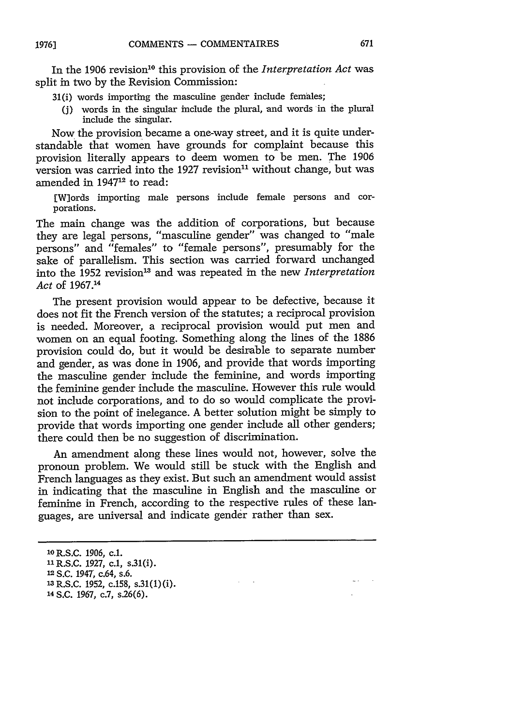In the 1906 revision<sup>10</sup> this provision of the *Interpretation Act* was split in two by the Revision Commission:

- 31(i) words importing the masculine gender include females;
	- (j) words in the singular include the plural, and words in the plural include the singular.

Now the provision became a one-way street, and it is quite understandable that women have grounds for complaint because this provision literally appears to deem women to be men. The 1906 version was carried into the 1927 revision $11$  without change, but was amended in 194712 to read:

[W]ords importing male persons include female persons and corporations.

The main change was the addition of corporations, but because they are legal persons, "masculine gender" was changed to "male persons" and "females" to "female persons", presumably for the sake of parallelism. This section was carried forward unchanged into the 1952 revision" and was repeated in the new *Interpretation Act* of 1967.14

The present provision would appear to be defective, because it does not fit the French version of the statutes; a reciprocal provision is needed. Moreover, a reciprocal provision would put men and women on an equal footing. Something along the lines of the 1886 provision could do, but it would be desirable to separate number and gender, as was done in 1906, and provide that words importing the masculine gender include the feminine, and words importing the feminine gender include the masculine. However this rule would not include corporations, and to do so would complicate the provision to the point of inelegance. A better solution might be simply to provide that words importing one gender include all other genders; there could then be no suggestion of discrimination.

An amendment along these lines would not, however, solve the pronoun problem. We would still be stuck with the English and French languages as they exist. But such an amendment would assist in indicating that the masculine in English and the masculine or feminine in French, according to the respective rules of these languages, are universal and indicate gender rather than sex.

14 S.C. 1967, c.7, s.26(6).

<sup>10</sup>R.S.C. 1906, c.1.

<sup>&</sup>lt;sup>11</sup> R.S.C. 1927, c.1, s.31(i).

**<sup>12</sup>**S.C. 1947, c.64, s.6.

**<sup>&#</sup>x27;3** R.S.C. 1952, c.158, s.31(1)(i).